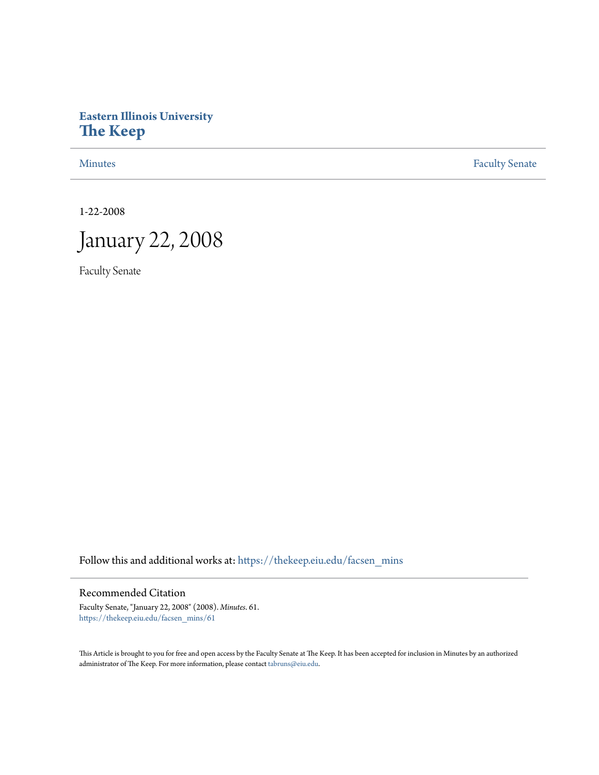# **Eastern Illinois University [The Keep](https://thekeep.eiu.edu?utm_source=thekeep.eiu.edu%2Ffacsen_mins%2F61&utm_medium=PDF&utm_campaign=PDFCoverPages)**

[Minutes](https://thekeep.eiu.edu/facsen_mins?utm_source=thekeep.eiu.edu%2Ffacsen_mins%2F61&utm_medium=PDF&utm_campaign=PDFCoverPages) **[Faculty Senate](https://thekeep.eiu.edu/fac_senate?utm_source=thekeep.eiu.edu%2Ffacsen_mins%2F61&utm_medium=PDF&utm_campaign=PDFCoverPages)** 

1-22-2008



Faculty Senate

Follow this and additional works at: [https://thekeep.eiu.edu/facsen\\_mins](https://thekeep.eiu.edu/facsen_mins?utm_source=thekeep.eiu.edu%2Ffacsen_mins%2F61&utm_medium=PDF&utm_campaign=PDFCoverPages)

#### Recommended Citation

Faculty Senate, "January 22, 2008" (2008). *Minutes*. 61. [https://thekeep.eiu.edu/facsen\\_mins/61](https://thekeep.eiu.edu/facsen_mins/61?utm_source=thekeep.eiu.edu%2Ffacsen_mins%2F61&utm_medium=PDF&utm_campaign=PDFCoverPages)

This Article is brought to you for free and open access by the Faculty Senate at The Keep. It has been accepted for inclusion in Minutes by an authorized administrator of The Keep. For more information, please contact [tabruns@eiu.edu.](mailto:tabruns@eiu.edu)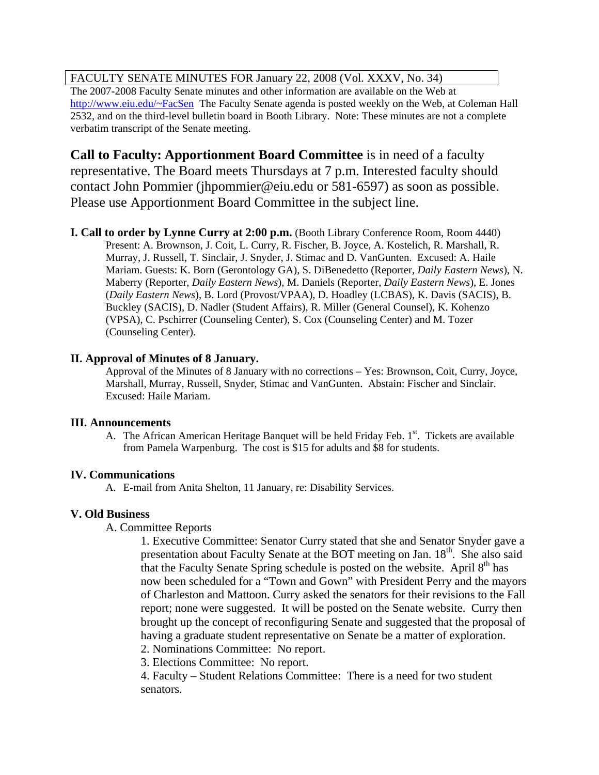## FACULTY SENATE MINUTES FOR January 22, 2008 (Vol. XXXV, No. 34)

The 2007-2008 Faculty Senate minutes and other information are available on the Web at [http://www.eiu.edu/~FacSen](http://www.eiu.edu/%7EFacSen) The Faculty Senate agenda is posted weekly on the Web, at Coleman Hall 2532, and on the third-level bulletin board in Booth Library. Note: These minutes are not a complete verbatim transcript of the Senate meeting.

**Call to Faculty: Apportionment Board Committee** is in need of a faculty representative. The Board meets Thursdays at 7 p.m. Interested faculty should contact John Pommier [\(jhpommier@eiu.edu](mailto:jhpommier@eiu.edu) or 581-6597) as soon as possible. Please use Apportionment Board Committee in the subject line.

**I. Call to order by Lynne Curry at 2:00 p.m.** (Booth Library Conference Room, Room 4440) Present: A. Brownson, J. Coit, L. Curry, R. Fischer, B. Joyce, A. Kostelich, R. Marshall, R. Murray, J. Russell, T. Sinclair, J. Snyder, J. Stimac and D. VanGunten. Excused: A. Haile Mariam. Guests: K. Born (Gerontology GA), S. DiBenedetto (Reporter, *Daily Eastern News*), N. Maberry (Reporter, *Daily Eastern News*), M. Daniels (Reporter, *Daily Eastern News*), E. Jones (*Daily Eastern News*), B. Lord (Provost/VPAA), D. Hoadley (LCBAS), K. Davis (SACIS), B. Buckley (SACIS), D. Nadler (Student Affairs), R. Miller (General Counsel), K. Kohenzo (VPSA), C. Pschirrer (Counseling Center), S. Cox (Counseling Center) and M. Tozer (Counseling Center).

## **II. Approval of Minutes of 8 January.**

Approval of the Minutes of 8 January with no corrections – Yes: Brownson, Coit, Curry, Joyce, Marshall, Murray, Russell, Snyder, Stimac and VanGunten. Abstain: Fischer and Sinclair. Excused: Haile Mariam.

#### **III. Announcements**

A. The African American Heritage Banquet will be held Friday Feb.  $1<sup>st</sup>$ . Tickets are available from Pamela Warpenburg. The cost is \$15 for adults and \$8 for students.

## **IV. Communications**

A. E-mail from Anita Shelton, 11 January, re: Disability Services.

## **V. Old Business**

## A. Committee Reports

1. Executive Committee: Senator Curry stated that she and Senator Snyder gave a presentation about Faculty Senate at the BOT meeting on Jan. 18<sup>th</sup>. She also said that the Faculty Senate Spring schedule is posted on the website. April  $8<sup>th</sup>$  has now been scheduled for a "Town and Gown" with President Perry and the mayors of Charleston and Mattoon. Curry asked the senators for their revisions to the Fall report; none were suggested. It will be posted on the Senate website. Curry then brought up the concept of reconfiguring Senate and suggested that the proposal of having a graduate student representative on Senate be a matter of exploration.

- 2. Nominations Committee: No report.
- 3. Elections Committee: No report.

4. Faculty – Student Relations Committee: There is a need for two student senators.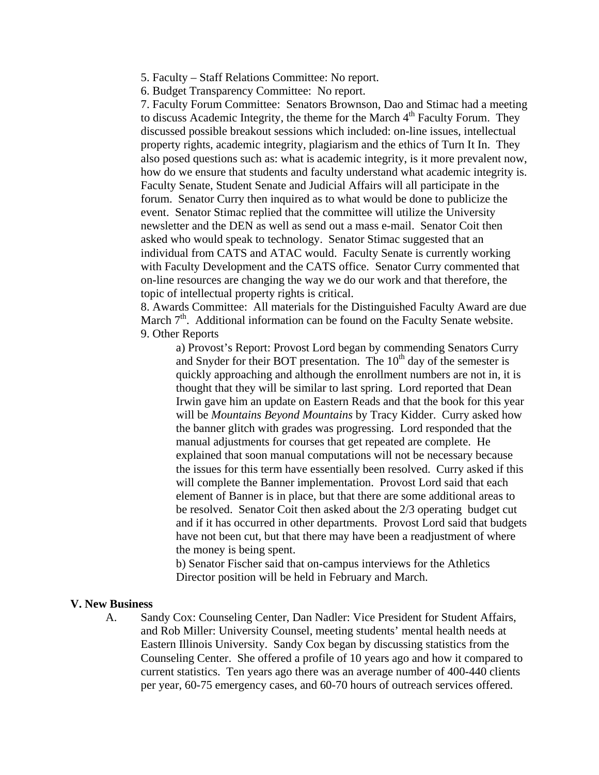- 5. Faculty Staff Relations Committee: No report.
- 6. Budget Transparency Committee: No report.

7. Faculty Forum Committee: Senators Brownson, Dao and Stimac had a meeting to discuss Academic Integrity, the theme for the March  $4<sup>th</sup>$  Faculty Forum. They discussed possible breakout sessions which included: on-line issues, intellectual property rights, academic integrity, plagiarism and the ethics of Turn It In. They also posed questions such as: what is academic integrity, is it more prevalent now, how do we ensure that students and faculty understand what academic integrity is. Faculty Senate, Student Senate and Judicial Affairs will all participate in the forum. Senator Curry then inquired as to what would be done to publicize the event. Senator Stimac replied that the committee will utilize the University newsletter and the DEN as well as send out a mass e-mail. Senator Coit then asked who would speak to technology. Senator Stimac suggested that an individual from CATS and ATAC would. Faculty Senate is currently working with Faculty Development and the CATS office. Senator Curry commented that on-line resources are changing the way we do our work and that therefore, the topic of intellectual property rights is critical.

8. Awards Committee: All materials for the Distinguished Faculty Award are due March 7<sup>th</sup>. Additional information can be found on the Faculty Senate website. 9. Other Reports

a) Provost's Report: Provost Lord began by commending Senators Curry and Snyder for their BOT presentation. The  $10<sup>th</sup>$  day of the semester is quickly approaching and although the enrollment numbers are not in, it is thought that they will be similar to last spring. Lord reported that Dean Irwin gave him an update on Eastern Reads and that the book for this year will be *Mountains Beyond Mountains* by Tracy Kidder. Curry asked how the banner glitch with grades was progressing. Lord responded that the manual adjustments for courses that get repeated are complete. He explained that soon manual computations will not be necessary because the issues for this term have essentially been resolved. Curry asked if this will complete the Banner implementation. Provost Lord said that each element of Banner is in place, but that there are some additional areas to be resolved. Senator Coit then asked about the 2/3 operating budget cut and if it has occurred in other departments. Provost Lord said that budgets have not been cut, but that there may have been a readjustment of where the money is being spent.

b) Senator Fischer said that on-campus interviews for the Athletics Director position will be held in February and March.

#### **V. New Business**

A. Sandy Cox: Counseling Center, Dan Nadler: Vice President for Student Affairs, and Rob Miller: University Counsel, meeting students' mental health needs at Eastern Illinois University. Sandy Cox began by discussing statistics from the Counseling Center. She offered a profile of 10 years ago and how it compared to current statistics. Ten years ago there was an average number of 400-440 clients per year, 60-75 emergency cases, and 60-70 hours of outreach services offered.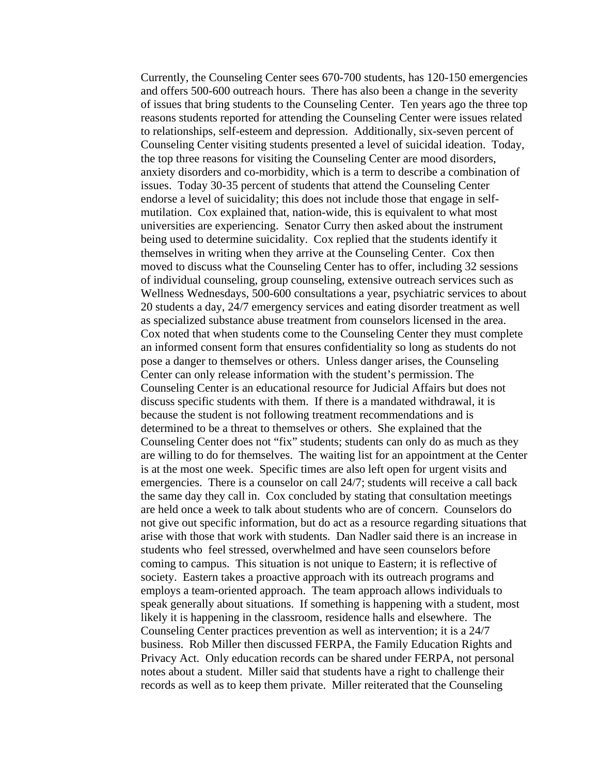Currently, the Counseling Center sees 670-700 students, has 120-150 emergencies and offers 500-600 outreach hours. There has also been a change in the severity of issues that bring students to the Counseling Center. Ten years ago the three top reasons students reported for attending the Counseling Center were issues related to relationships, self-esteem and depression. Additionally, six-seven percent of Counseling Center visiting students presented a level of suicidal ideation. Today, the top three reasons for visiting the Counseling Center are mood disorders, anxiety disorders and co-morbidity, which is a term to describe a combination of issues. Today 30-35 percent of students that attend the Counseling Center endorse a level of suicidality; this does not include those that engage in selfmutilation. Cox explained that, nation-wide, this is equivalent to what most universities are experiencing. Senator Curry then asked about the instrument being used to determine suicidality. Cox replied that the students identify it themselves in writing when they arrive at the Counseling Center. Cox then moved to discuss what the Counseling Center has to offer, including 32 sessions of individual counseling, group counseling, extensive outreach services such as Wellness Wednesdays, 500-600 consultations a year, psychiatric services to about 20 students a day, 24/7 emergency services and eating disorder treatment as well as specialized substance abuse treatment from counselors licensed in the area. Cox noted that when students come to the Counseling Center they must complete an informed consent form that ensures confidentiality so long as students do not pose a danger to themselves or others. Unless danger arises, the Counseling Center can only release information with the student's permission. The Counseling Center is an educational resource for Judicial Affairs but does not discuss specific students with them. If there is a mandated withdrawal, it is because the student is not following treatment recommendations and is determined to be a threat to themselves or others. She explained that the Counseling Center does not "fix" students; students can only do as much as they are willing to do for themselves. The waiting list for an appointment at the Center is at the most one week. Specific times are also left open for urgent visits and emergencies. There is a counselor on call 24/7; students will receive a call back the same day they call in. Cox concluded by stating that consultation meetings are held once a week to talk about students who are of concern. Counselors do not give out specific information, but do act as a resource regarding situations that arise with those that work with students. Dan Nadler said there is an increase in students who feel stressed, overwhelmed and have seen counselors before coming to campus. This situation is not unique to Eastern; it is reflective of society. Eastern takes a proactive approach with its outreach programs and employs a team-oriented approach. The team approach allows individuals to speak generally about situations. If something is happening with a student, most likely it is happening in the classroom, residence halls and elsewhere. The Counseling Center practices prevention as well as intervention; it is a 24/7 business. Rob Miller then discussed FERPA, the Family Education Rights and Privacy Act. Only education records can be shared under FERPA, not personal notes about a student. Miller said that students have a right to challenge their records as well as to keep them private. Miller reiterated that the Counseling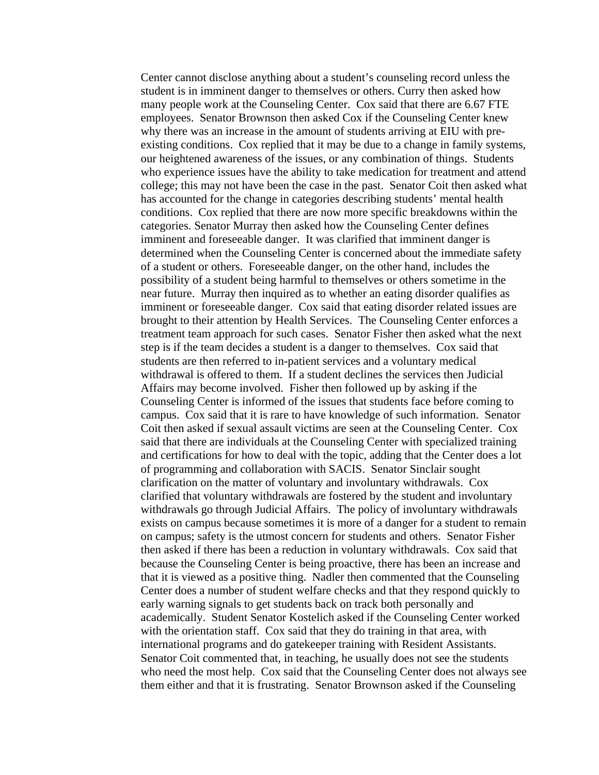Center cannot disclose anything about a student's counseling record unless the student is in imminent danger to themselves or others. Curry then asked how many people work at the Counseling Center. Cox said that there are 6.67 FTE employees. Senator Brownson then asked Cox if the Counseling Center knew why there was an increase in the amount of students arriving at EIU with preexisting conditions. Cox replied that it may be due to a change in family systems, our heightened awareness of the issues, or any combination of things. Students who experience issues have the ability to take medication for treatment and attend college; this may not have been the case in the past. Senator Coit then asked what has accounted for the change in categories describing students' mental health conditions. Cox replied that there are now more specific breakdowns within the categories. Senator Murray then asked how the Counseling Center defines imminent and foreseeable danger. It was clarified that imminent danger is determined when the Counseling Center is concerned about the immediate safety of a student or others. Foreseeable danger, on the other hand, includes the possibility of a student being harmful to themselves or others sometime in the near future. Murray then inquired as to whether an eating disorder qualifies as imminent or foreseeable danger. Cox said that eating disorder related issues are brought to their attention by Health Services. The Counseling Center enforces a treatment team approach for such cases. Senator Fisher then asked what the next step is if the team decides a student is a danger to themselves. Cox said that students are then referred to in-patient services and a voluntary medical withdrawal is offered to them. If a student declines the services then Judicial Affairs may become involved. Fisher then followed up by asking if the Counseling Center is informed of the issues that students face before coming to campus. Cox said that it is rare to have knowledge of such information. Senator Coit then asked if sexual assault victims are seen at the Counseling Center. Cox said that there are individuals at the Counseling Center with specialized training and certifications for how to deal with the topic, adding that the Center does a lot of programming and collaboration with SACIS. Senator Sinclair sought clarification on the matter of voluntary and involuntary withdrawals. Cox clarified that voluntary withdrawals are fostered by the student and involuntary withdrawals go through Judicial Affairs. The policy of involuntary withdrawals exists on campus because sometimes it is more of a danger for a student to remain on campus; safety is the utmost concern for students and others. Senator Fisher then asked if there has been a reduction in voluntary withdrawals. Cox said that because the Counseling Center is being proactive, there has been an increase and that it is viewed as a positive thing. Nadler then commented that the Counseling Center does a number of student welfare checks and that they respond quickly to early warning signals to get students back on track both personally and academically. Student Senator Kostelich asked if the Counseling Center worked with the orientation staff. Cox said that they do training in that area, with international programs and do gatekeeper training with Resident Assistants. Senator Coit commented that, in teaching, he usually does not see the students who need the most help. Cox said that the Counseling Center does not always see them either and that it is frustrating. Senator Brownson asked if the Counseling